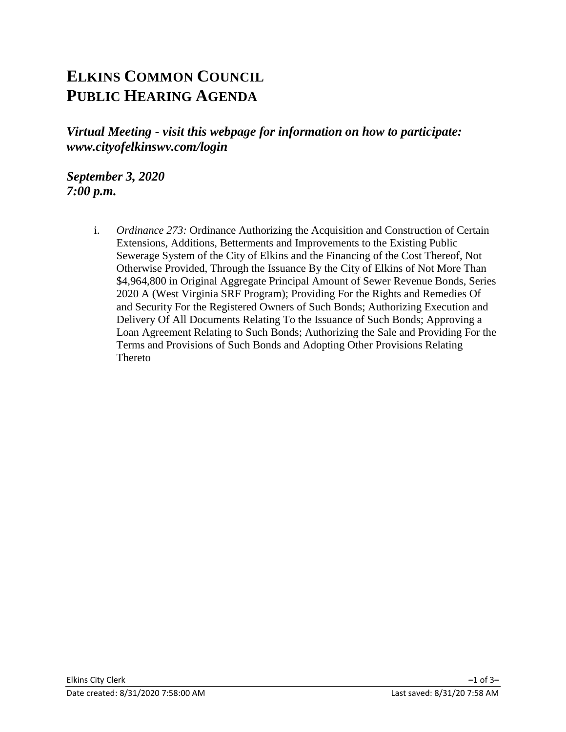# **ELKINS COMMON COUNCIL PUBLIC HEARING AGENDA**

*Virtual Meeting - visit this webpage for information on how to participate: www.cityofelkinswv.com/login*

*September 3, 2020 7:00 p.m.*

> i. *Ordinance 273:* Ordinance Authorizing the Acquisition and Construction of Certain Extensions, Additions, Betterments and Improvements to the Existing Public Sewerage System of the City of Elkins and the Financing of the Cost Thereof, Not Otherwise Provided, Through the Issuance By the City of Elkins of Not More Than \$4,964,800 in Original Aggregate Principal Amount of Sewer Revenue Bonds, Series 2020 A (West Virginia SRF Program); Providing For the Rights and Remedies Of and Security For the Registered Owners of Such Bonds; Authorizing Execution and Delivery Of All Documents Relating To the Issuance of Such Bonds; Approving a Loan Agreement Relating to Such Bonds; Authorizing the Sale and Providing For the Terms and Provisions of Such Bonds and Adopting Other Provisions Relating **Thereto**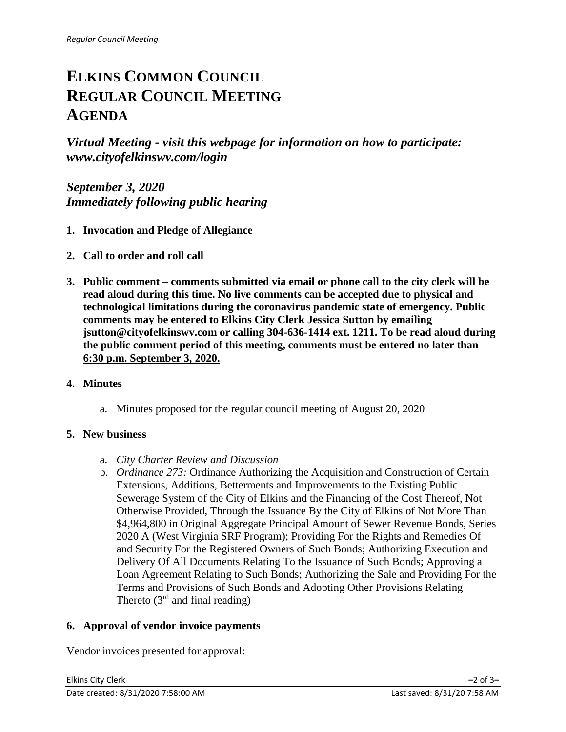# **ELKINS COMMON COUNCIL REGULAR COUNCIL MEETING AGENDA**

*Virtual Meeting - visit this webpage for information on how to participate: www.cityofelkinswv.com/login*

*September 3, 2020 Immediately following public hearing*

- **1. Invocation and Pledge of Allegiance**
- **2. Call to order and roll call**
- **3. Public comment – comments submitted via email or phone call to the city clerk will be read aloud during this time. No live comments can be accepted due to physical and technological limitations during the coronavirus pandemic state of emergency. Public comments may be entered to Elkins City Clerk Jessica Sutton by emailing jsutton@cityofelkinswv.com or calling 304-636-1414 ext. 1211. To be read aloud during the public comment period of this meeting, comments must be entered no later than 6:30 p.m. September 3, 2020.**

## **4. Minutes**

a. Minutes proposed for the regular council meeting of August 20, 2020

## **5. New business**

- a. *City Charter Review and Discussion*
- b. *Ordinance 273:* Ordinance Authorizing the Acquisition and Construction of Certain Extensions, Additions, Betterments and Improvements to the Existing Public Sewerage System of the City of Elkins and the Financing of the Cost Thereof, Not Otherwise Provided, Through the Issuance By the City of Elkins of Not More Than \$4,964,800 in Original Aggregate Principal Amount of Sewer Revenue Bonds, Series 2020 A (West Virginia SRF Program); Providing For the Rights and Remedies Of and Security For the Registered Owners of Such Bonds; Authorizing Execution and Delivery Of All Documents Relating To the Issuance of Such Bonds; Approving a Loan Agreement Relating to Such Bonds; Authorizing the Sale and Providing For the Terms and Provisions of Such Bonds and Adopting Other Provisions Relating Thereto  $(3<sup>rd</sup>$  and final reading)

## **6. Approval of vendor invoice payments**

Vendor invoices presented for approval: